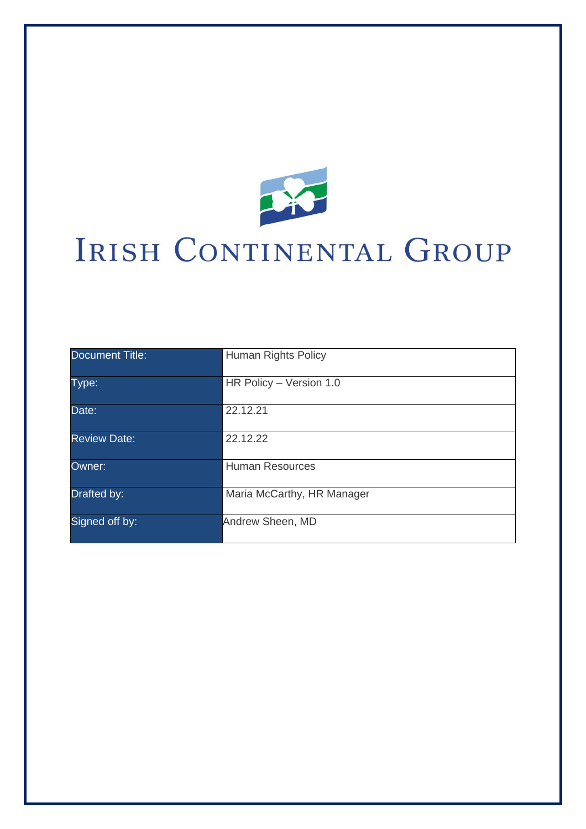

# IRISH CONTINENTAL GROUP

| Document Title:     | Human Rights Policy        |
|---------------------|----------------------------|
| Type:               | HR Policy - Version 1.0    |
| Date:               | 22.12.21                   |
| <b>Review Date:</b> | 22.12.22                   |
| Owner:              | <b>Human Resources</b>     |
| Drafted by:         | Maria McCarthy, HR Manager |
| Signed off by:      | Andrew Sheen, MD           |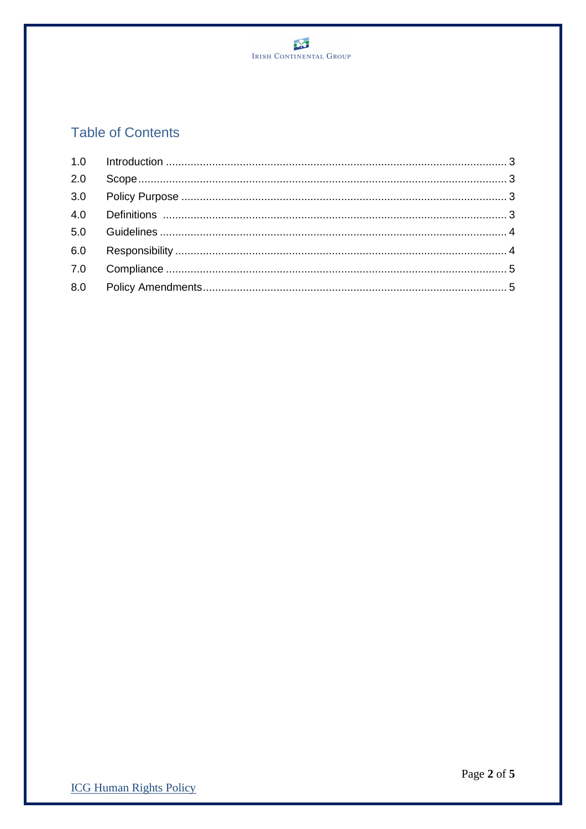

# **Table of Contents**

| 2.0 |  |
|-----|--|
|     |  |
|     |  |
|     |  |
|     |  |
|     |  |
|     |  |
|     |  |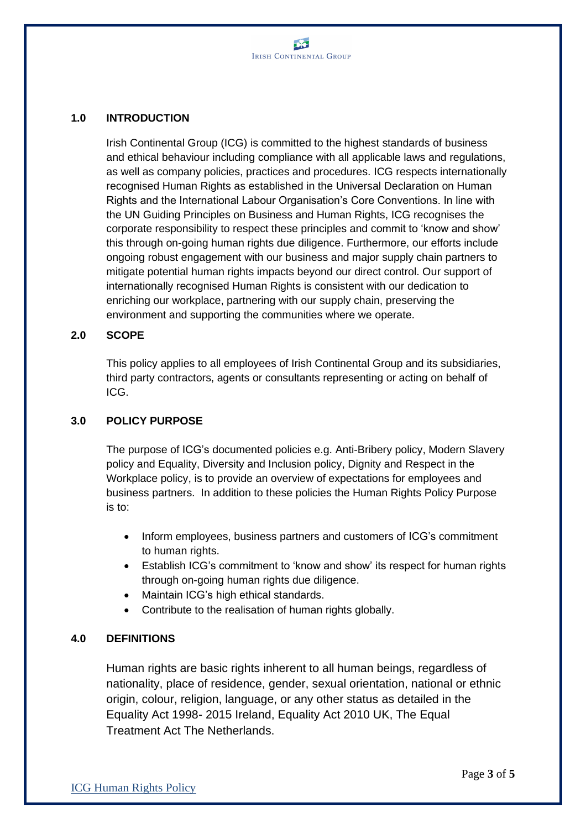## **1.0 INTRODUCTION**

Irish Continental Group (ICG) is committed to the highest standards of business and ethical behaviour including compliance with all applicable laws and regulations, as well as company policies, practices and procedures. ICG respects internationally recognised Human Rights as established in the Universal Declaration on Human Rights and the International Labour Organisation's Core Conventions. In line with the UN Guiding Principles on Business and Human Rights, ICG recognises the corporate responsibility to respect these principles and commit to 'know and show' this through on-going human rights due diligence. Furthermore, our efforts include ongoing robust engagement with our business and major supply chain partners to mitigate potential human rights impacts beyond our direct control. Our support of internationally recognised Human Rights is consistent with our dedication to enriching our workplace, partnering with our supply chain, preserving the environment and supporting the communities where we operate.

#### **2.0 SCOPE**

This policy applies to all employees of Irish Continental Group and its subsidiaries, third party contractors, agents or consultants representing or acting on behalf of ICG.

# **3.0 POLICY PURPOSE**

The purpose of ICG's documented policies e.g. Anti-Bribery policy, Modern Slavery policy and Equality, Diversity and Inclusion policy, Dignity and Respect in the Workplace policy, is to provide an overview of expectations for employees and business partners. In addition to these policies the Human Rights Policy Purpose is to:

- Inform employees, business partners and customers of ICG's commitment to human rights.
- Establish ICG's commitment to 'know and show' its respect for human rights through on-going human rights due diligence.
- Maintain ICG's high ethical standards.
- Contribute to the realisation of human rights globally.

#### **4.0 DEFINITIONS**

Human rights are basic rights inherent to all human beings, regardless of nationality, place of residence, gender, sexual orientation, national or ethnic origin, colour, religion, language, or any other status as detailed in the Equality Act 1998- 2015 Ireland, Equality Act 2010 UK, The Equal Treatment Act The Netherlands.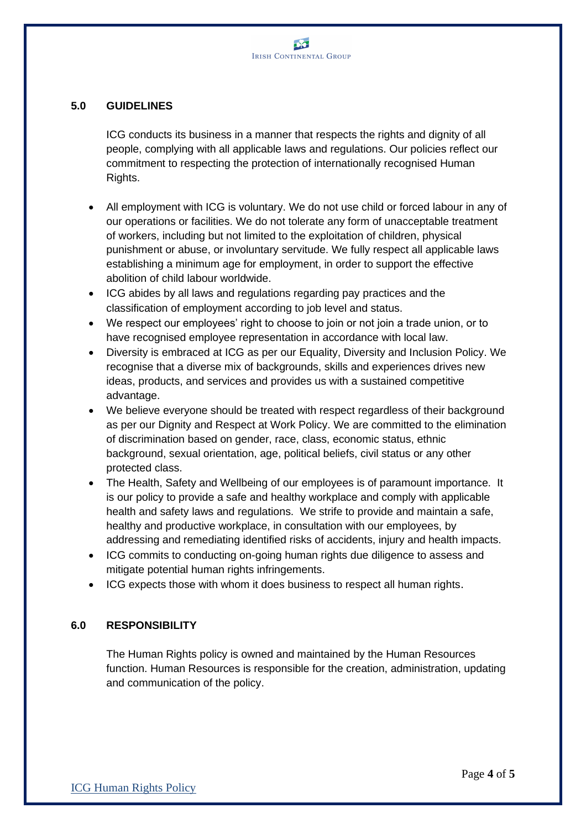# **5.0 GUIDELINES**

ICG conducts its business in a manner that respects the rights and dignity of all people, complying with all applicable laws and regulations. Our policies reflect our commitment to respecting the protection of internationally recognised Human Rights.

- All employment with ICG is voluntary. We do not use child or forced labour in any of our operations or facilities. We do not tolerate any form of unacceptable treatment of workers, including but not limited to the exploitation of children, physical punishment or abuse, or involuntary servitude. We fully respect all applicable laws establishing a minimum age for employment, in order to support the effective abolition of child labour worldwide.
- ICG abides by all laws and regulations regarding pay practices and the classification of employment according to job level and status.
- We respect our employees' right to choose to join or not join a trade union, or to have recognised employee representation in accordance with local law.
- Diversity is embraced at ICG as per our Equality, Diversity and Inclusion Policy. We recognise that a diverse mix of backgrounds, skills and experiences drives new ideas, products, and services and provides us with a sustained competitive advantage.
- We believe everyone should be treated with respect regardless of their background as per our Dignity and Respect at Work Policy. We are committed to the elimination of discrimination based on gender, race, class, economic status, ethnic background, sexual orientation, age, political beliefs, civil status or any other protected class.
- The Health, Safety and Wellbeing of our employees is of paramount importance. It is our policy to provide a safe and healthy workplace and comply with applicable health and safety laws and regulations. We strife to provide and maintain a safe, healthy and productive workplace, in consultation with our employees, by addressing and remediating identified risks of accidents, injury and health impacts.
- ICG commits to conducting on-going human rights due diligence to assess and mitigate potential human rights infringements.
- ICG expects those with whom it does business to respect all human rights.

#### **6.0 RESPONSIBILITY**

The Human Rights policy is owned and maintained by the Human Resources function. Human Resources is responsible for the creation, administration, updating and communication of the policy.